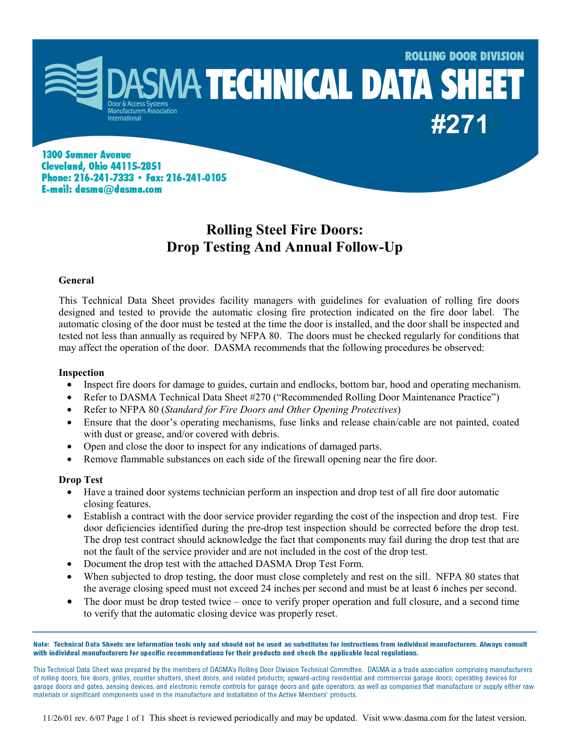

**1300 Sumner Avenue Cleveland, Ohio 44115-2851** Phone: 216-241-7333 · Fax: 216-241-0105 E-mail: dasma@dasma.com

# **Rolling Steel Fire Doors: Drop Testing And Annual Follow-Up**

### **General**

This Technical Data Sheet provides facility managers with guidelines for evaluation of rolling fire doors designed and tested to provide the automatic closing fire protection indicated on the fire door label. The automatic closing of the door must be tested at the time the door is installed, and the door shall be inspected and tested not less than annually as required by NFPA 80. The doors must be checked regularly for conditions that may affect the operation of the door. DASMA recommends that the following procedures be observed:

#### **Inspection**

- Inspect fire doors for damage to guides, curtain and endlocks, bottom bar, hood and operating mechanism.
- Refer to DASMA Technical Data Sheet #270 ("Recommended Rolling Door Maintenance Practice")
- Refer to NFPA 80 (*Standard for Fire Doors and Other Opening Protectives*)
- Ensure that the door's operating mechanisms, fuse links and release chain/cable are not painted, coated with dust or grease, and/or covered with debris.
- Open and close the door to inspect for any indications of damaged parts.
- Remove flammable substances on each side of the firewall opening near the fire door.

### **Drop Test**

- Have a trained door systems technician perform an inspection and drop test of all fire door automatic closing features.
- Establish a contract with the door service provider regarding the cost of the inspection and drop test. Fire door deficiencies identified during the pre-drop test inspection should be corrected before the drop test. The drop test contract should acknowledge the fact that components may fail during the drop test that are not the fault of the service provider and are not included in the cost of the drop test.
- Document the drop test with the attached DASMA Drop Test Form.
- When subjected to drop testing, the door must close completely and rest on the sill. NFPA 80 states that the average closing speed must not exceed 24 inches per second and must be at least 6 inches per second.
- The door must be drop tested twice once to verify proper operation and full closure, and a second time to verify that the automatic closing device was properly reset.

Note: Technical Data Sheets are information tools only and should not be used as substitutes for instructions from individual manufacturers. Always consult with individual manufacturers for specific recommendations for their products and check the applicable local regulations.

This Technical Data Sheet was prepared by the members of DASMA's Rolling Door Division Technical Committee. DASMA is a trade association comprising manufacturers of rolling doors, fire doors, grilles, counter shutters, sheet doors, and related products; upward-acting residential and commercial garage doors; operating devices for garage doors and gates, sensing devices, and electronic remote controls for garage doors and gate operators; as well as companies that manufacture or supply either raw materials or significant components used in the manufacture and installation of the Active Members' products.

11/26/01 rev. 6/07 Page 1 of 1 This sheet is reviewed periodically and may be updated. Visit www.dasma.com for the latest version.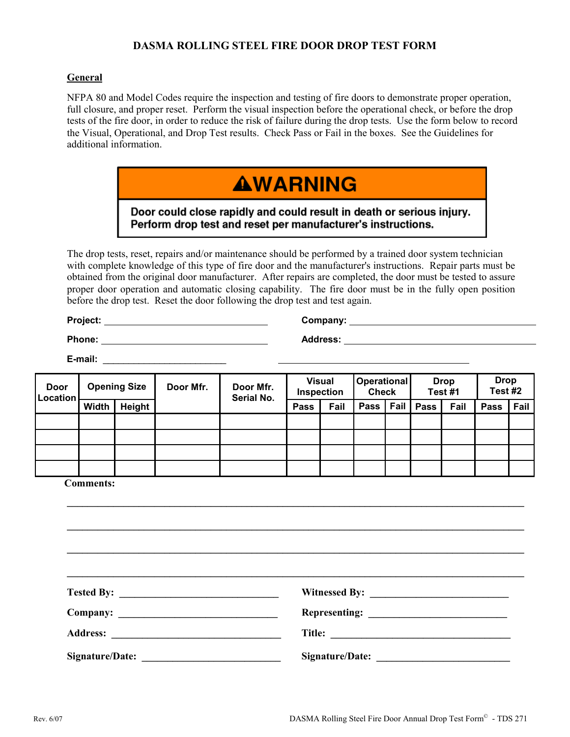## **DASMA ROLLING STEEL FIRE DOOR DROP TEST FORM**

### **General**

NFPA 80 and Model Codes require the inspection and testing of fire doors to demonstrate proper operation, full closure, and proper reset. Perform the visual inspection before the operational check, or before the drop tests of the fire door, in order to reduce the risk of failure during the drop tests. Use the form below to record the Visual, Operational, and Drop Test results. Check Pass or Fail in the boxes. See the Guidelines for additional information.

# **AWARNING**

Door could close rapidly and could result in death or serious injury. Perform drop test and reset per manufacturer's instructions.

The drop tests, reset, repairs and/or maintenance should be performed by a trained door system technician with complete knowledge of this type of fire door and the manufacturer's instructions. Repair parts must be obtained from the original door manufacturer. After repairs are completed, the door must be tested to assure proper door operation and automatic closing capability. The fire door must be in the fully open position before the drop test. Reset the door following the drop test and test again.

**Project: Company:**

**Phone: Address:**

**E-mail:**  $\blacksquare$ 

| <b>Door</b><br>Location | <b>Opening Size</b> |        | Door Mfr. | Door Mfr.<br>Serial No. | <b>Visual</b><br>Inspection |      | <b>Operational</b><br><b>Check</b> |      | <b>Drop</b><br>Test #1 |      | <b>Drop</b><br>Test #2 |      |
|-------------------------|---------------------|--------|-----------|-------------------------|-----------------------------|------|------------------------------------|------|------------------------|------|------------------------|------|
|                         | <b>Width</b>        | Height |           |                         | Pass                        | Fail | Pass                               | Fail | <b>Pass</b>            | Fail | Pass                   | Fail |
|                         |                     |        |           |                         |                             |      |                                    |      |                        |      |                        |      |
|                         |                     |        |           |                         |                             |      |                                    |      |                        |      |                        |      |
|                         |                     |        |           |                         |                             |      |                                    |      |                        |      |                        |      |
|                         |                     |        |           |                         |                             |      |                                    |      |                        |      |                        |      |

 $\bm{r} = \bm{r} - \bm{r}$  , where  $\bm{r} = \bm{r} - \bm{r}$  , where  $\bm{r} = \bm{r} - \bm{r}$  , where  $\bm{r} = \bm{r} - \bm{r}$ 

 $\bm{r} = \bm{r}_1 - \bm{r}_2 - \bm{r}_3$  , where  $\bm{r}_1 - \bm{r}_2 - \bm{r}_3$  ,  $\bm{r}_2 - \bm{r}_3$  ,  $\bm{r}_3 - \bm{r}_4$  ,  $\bm{r}_4 - \bm{r}_5$  ,  $\bm{r}_5 - \bm{r}_6$  ,  $\bm{r}_6 - \bm{r}_7$  ,  $\bm{r}_7 - \bm{r}_8$  ,  $\bm{r}_8 - \bm{r}_9$  ,  $\bm{r}_9 - \bm{r}_9$  ,  $\bm{r}_9 - \bm{r}_9$ 

 **Comments:** 

**\_\_\_\_\_\_\_\_\_\_\_\_\_\_\_\_\_\_\_\_\_\_\_\_\_\_\_\_\_\_\_\_\_\_\_\_\_\_\_\_\_\_\_\_\_\_\_\_\_\_\_\_\_\_\_\_\_\_\_\_\_\_\_\_\_\_\_\_\_\_\_\_\_\_\_\_\_\_\_\_\_\_\_\_\_\_\_\_\_ Tested By: \_\_\_\_\_\_\_\_\_\_\_\_\_\_\_\_\_\_\_\_\_\_\_\_\_\_\_\_\_\_\_ Witnessed By: \_\_\_\_\_\_\_\_\_\_\_\_\_\_\_\_\_\_\_\_\_\_\_\_\_\_\_ Company: \_\_\_\_\_\_\_\_\_\_\_\_\_\_\_\_\_\_\_\_\_\_\_\_\_\_\_\_\_\_\_ Representing: \_\_\_\_\_\_\_\_\_\_\_\_\_\_\_\_\_\_\_\_\_\_\_\_\_\_\_ Address: \_\_\_\_\_\_\_\_\_\_\_\_\_\_\_\_\_\_\_\_\_\_\_\_\_\_\_\_\_\_\_\_\_ Title: \_\_\_\_\_\_\_\_\_\_\_\_\_\_\_\_\_\_\_\_\_\_\_\_\_\_\_\_\_\_\_\_\_\_\_ Signature/Date: \_\_\_\_\_\_\_\_\_\_\_\_\_\_\_\_\_\_\_\_\_\_\_\_\_\_\_ Signature/Date: \_\_\_\_\_\_\_\_\_\_\_\_\_\_\_\_\_\_\_\_\_\_\_\_\_\_**